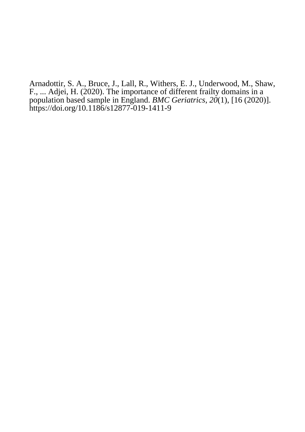Arnadottir, S. A., Bruce, J., Lall, R., Withers, E. J., Underwood, M., Shaw, F., ... Adjei, H. (2020). [The importance of different frailty domains in a](https://research-information.bris.ac.uk/en/publications/the-importance-of-different-frailty-domains-in-a-population-based-sample-in-england(81827679-262c-438b-a869-692ae5c024fb).html) [population based sample in England.](https://research-information.bris.ac.uk/en/publications/the-importance-of-different-frailty-domains-in-a-population-based-sample-in-england(81827679-262c-438b-a869-692ae5c024fb).html) *BMC Geriatrics*, *20*(1), [16 (2020)]. <https://doi.org/10.1186/s12877-019-1411-9>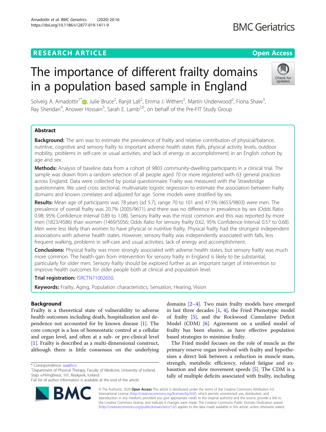# **RESEARCH ARTICLE Example 2014 CONSIDERING A RESEARCH ARTICLE**

Arnadottir et al. BMC Geriatrics (2020) 20:16 https://doi.org/10.1186/s12877-019-1411-9

# The importance of different frailty domains in a population based sample in England

Solveig A. Arnadottir<sup>1\*</sup> [,](http://orcid.org/0000-0002-3017-113X) Julie Bruce<sup>2</sup>, Ranjit Lall<sup>2</sup>, Emma J. Withers<sup>2</sup>, Martin Underwood<sup>2</sup>, Fiona Shaw<sup>3</sup> , Ray Sheridan<sup>4</sup>, Anower Hossain<sup>5</sup>, Sarah E. Lamb<sup>2,6</sup>, on behalf of the Pre-FIT Study Group

## Abstract

**Background:** The aim was to estimate the prevalence of frailty and relative contribution of physical/balance, nutritive, cognitive and sensory frailty to important adverse health states (falls, physical activity levels, outdoor mobility, problems in self-care or usual activities, and lack of energy or accomplishment) in an English cohort by age and sex.

Methods: Analysis of baseline data from a cohort of 9803 community-dwelling participants in a clinical trial. The sample was drawn from a random selection of all people aged 70 or more registered with 63 general practices across England. Data were collected by postal questionnaire. Frailty was measured with the Strawbridge questionnaire. We used cross sectional, multivariate logistic regression to estimate the association between frailty domains and known correlates and adjusted for age. Some models were stratified by sex.

Results: Mean age of participants was 78 years (sd 5.7), range 70 to 101 and 47.5% (4653/9803) were men. The prevalence of overall frailty was 20.7% (2005/9671) and there was no difference in prevalence by sex (Odds Ratio 0.98; 95% Confidence Interval 0.89 to 1.08). Sensory frailty was the most common and this was reported by more men (1823/4586) than women (1469/5056; Odds Ratio for sensory frailty 0.62, 95% Confidence Interval 0.57 to 0.68). Men were less likely than women to have physical or nutritive frailty. Physical frailty had the strongest independent associations with adverse health states. However, sensory frailty was independently associated with falls, less frequent walking, problems in self-care and usual activities, lack of energy and accomplishment.

**Conclusions:** Physical frailty was more strongly associated with adverse health states, but sensory frailty was much more common. The health gain from intervention for sensory frailty in England is likely to be substantial, particularly for older men. Sensory frailty should be explored further as an important target of intervention to improve health outcomes for older people both at clinical and population level.

Trial registration: [ISRCTN71002650](http://www.isrctn.com/ISRCTN71002650).

Keywords: Frailty, Aging, Population characteristics, Sensation, Hearing, Vision

## Background

Frailty is a theoretical state of vulnerability to adverse health outcomes including death, hospitalization and dependence not accounted for by known disease [[1\]](#page-9-0). The core concept is a loss of homeostatic control at a cellular and organ level, and often at a sub- or pre-clinical level [[1\]](#page-9-0). Frailty is described as a multi-dimensional construct, although there is little consensus on the underlying

\* Correspondence: [saa@hi.is](mailto:saa@hi.is) <sup>1</sup>

domains [[2](#page-9-0)–[4](#page-9-0)]. Two main frailty models have emerged in last three decades [[1,](#page-9-0) [4](#page-9-0)], the Fried Phenotypic model of frailty [\[5\]](#page-9-0), and the Rockwood Cumulative Deficit Model (CDM) [\[6](#page-9-0)]. Agreement on a unified model of frailty has been elusive, as have effective population based strategies to minimise frailty.

The Fried model focuses on the role of muscle as the primary reserve organ involved with frailty and hypothesises a direct link between a reduction in muscle mass, strength, metabolic efficiency, related fatigue and exhaustion and slow movement speeds [\[5](#page-9-0)]. The CDM is a tally of multiple deficits associated with frailty, including

© The Author(s). 2020 **Open Access** This article is distributed under the terms of the Creative Commons Attribution 4.0 International License [\(http://creativecommons.org/licenses/by/4.0/](http://creativecommons.org/licenses/by/4.0/)), which permits unrestricted use, distribution, and reproduction in any medium, provided you give appropriate credit to the original author(s) and the source, provide a link to the Creative Commons license, and indicate if changes were made. The Creative Commons Public Domain Dedication waiver [\(http://creativecommons.org/publicdomain/zero/1.0/](http://creativecommons.org/publicdomain/zero/1.0/)) applies to the data made available in this article, unless otherwise stated.



RA





Department of Physical Therapy, Faculty of Medicine, University of Iceland, Stapi v/Hringbraut, 101, Reykjavik, Iceland

Full list of author information is available at the end of the article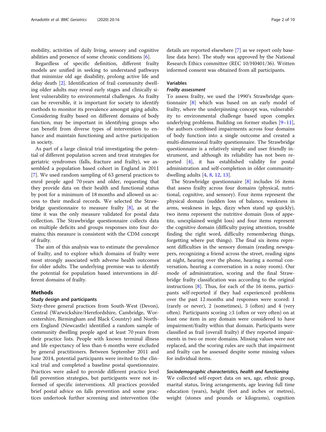mobility, activities of daily living, sensory and cognitive abilities and presence of some chronic conditions  $[6]$  $[6]$ .

Regardless of specific definition, different frailty models are unified in seeking to understand pathways that minimize old age disability, prolong active life and delay death [[2\]](#page-9-0). Identification of frail community dwelling older adults may reveal early stages and clinically silent vulnerability to environmental challenges. As frailty can be reversible, it is important for society to identify methods to monitor its prevalence amongst aging adults. Considering frailty based on different domains of body function, may be important in identifying groups who can benefit from diverse types of intervention to enhance and maintain functioning and active participation in society.

As part of a large clinical trial investigating the potential of different population screen and treat strategies for geriatric syndromes (falls, fracture and frailty), we assembled a population based cohort in England in 2011 [[7\]](#page-9-0). We used random sampling of 63 general practices to enrol people aged 70 years and older, requesting that they provide data on their health and functional status by post for a minimum of 18 months and allowed us access to their medical records. We selected the Strawbridge questionnaire to measure frailty [[8\]](#page-9-0), as at the time it was the only measure validated for postal data collection. The Strawbridge questionnaire collects data on multiple deficits and groups responses into four domains; this measure is consistent with the CDM concept of frailty.

The aim of this analysis was to estimate the prevalence of frailty, and to explore which domains of frailty were most strongly associated with adverse health outcomes for older adults. The underlying premise was to identify the potential for population based interventions in different domains of frailty.

## Methods

## Study design and participants

Sixty-three general practices from South-West (Devon), Central (Warwickshire/Herefordshire, Cambridge, Worcestershire, Birmingham and Black Country) and Northern England (Newcastle) identified a random sample of community dwelling people aged at least 70 years from their practice lists. People with known terminal illness and life expectancy of less than 6 months were excluded by general practitioners. Between September 2011 and June 2014, potential participants were invited to the clinical trial and completed a baseline postal questionnaire. Practices were asked to provide different practice level fall prevention strategies, but participants were not informed of specific interventions. All practices provided brief postal advice on falls prevention and some practices undertook further screening and intervention (the

details are reported elsewhere [[7\]](#page-9-0) as we report only baseline data here). The study was approved by the National Research Ethics committee (REC 10/H0401/36). Written informed consent was obtained from all participants.

## Variables

## Frailty assessment

To assess frailty, we used the 1990's Strawbridge questionnaire [\[8](#page-9-0)] which was based on an early model of frailty, where the underpinning concept was, vulnerability to environmental challenge based upon complex underlying problems. Building on former studies [[9](#page-9-0)–[11](#page-9-0)], the authors combined impairments across four domains of body function into a single outcome and created a multi-dimensional frailty questionnaire. The Strawbridge questionnaire is a relatively simple and user friendly instrument, and although its reliability has not been reported [[4\]](#page-9-0), it has established validity for postal administration and self-completion in older communitydwelling adults [\[4](#page-9-0), [8](#page-9-0), [12](#page-10-0), [13](#page-10-0)].

The Strawbridge questionnaire [[8\]](#page-9-0) includes 16 items that assess frailty across four domains (physical, nutritional, cognitive, and sensory). Four items represent the physical domain (sudden loss of balance, weakness in arms, weakness in legs, dizzy when stand up quickly), two items represent the nutritive domain (loss of appetite, unexplained weight loss) and four items represent the cognitive domain (difficulty paying attention, trouble finding the right word, difficulty remembering things, forgetting where put things). The final six items represent difficulties in the sensory domain (reading newspapers, recognizing a friend across the street, reading signs at night, hearing over the phone, hearing a normal conversation, hearing a conversation in a noisy room). Our mode of administration, scoring and the final Strawbridge frailty classification was according to the original instructions [\[8\]](#page-9-0). Thus, for each of the 16 items, participants self-reported if they had experienced problems over the past 12 months and responses were scored: 1 (rarely or never), 2 (sometimes), 3 (often) and 4 (very often). Participants scoring ≥3 (often or very often) on at least one item in any domain were considered to have impairment/frailty within that domain. Participants were classified as frail (overall frailty) if they reported impairments in two or more domains. Missing values were not replaced, and the scoring rules are such that impairment and frailty can be assessed despite some missing values for individual items.

## Sociodemographic characteristics, health and functioning

We collected self-report data on sex, age, ethnic group, marital status, living arrangements, age leaving full time education (years), height (feet and inches or metres), weight (stones and pounds or kilograms), cognition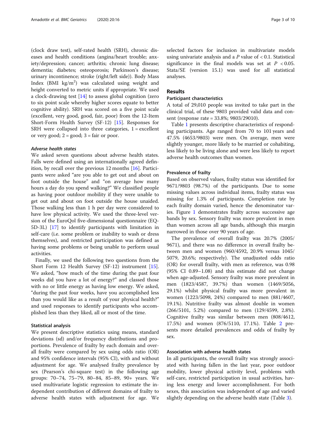(clock draw test), self-rated health (SRH), chronic diseases and health conditions (angina/heart trouble; anxiety/depression; cancer; arthritis; chronic lung disease; dementia; diabetes; osteoporosis; Parkinson's disease; urinary incontinence; stroke (right/left side)). Body Mass Index  $(BMI \ kg/m^2)$  was calculated using weight and height converted to metric units if appropriate. We used a clock-drawing test [\[14\]](#page-10-0) to assess global cognition (zero to six point scale whereby higher scores equate to better cognitive ability). SRH was scored on a five point scale (excellent, very good, good, fair, poor) from the 12-Item Short-Form Health Survey (SF-12) [\[15\]](#page-10-0). Responses for SRH were collapsed into three categories,  $1 =$  excellent or very good;  $2 = \text{good}$ ;  $3 = \text{fair or poor}$ .

## Adverse health states

We asked seven questions about adverse health states. Falls were defined using an internationally agreed definition, by recall over the previous 12 months [\[16](#page-10-0)]. Participants were asked "are you able to get out and about on foot outside the house" and "on average how many hours a day do you spend walking?" We classified people as having poor outdoor mobility if they were unable to get out and about on foot outside the house unaided. Those walking less than 1 h per day were considered to have low physical activity. We used the three-level version of the EuroQol five-dimensional questionnaire (EQ-5D-3L) [\[17](#page-10-0)] to identify participants with limitation in self-care (i.e. some problem or inability to wash or dress themselves), and restricted participation was defined as having some problems or being unable to perform usual activities.

Finally, we used the following two questions from the Short Form 12 Health Survey (SF-12) instrument [\[15](#page-10-0)]. We asked, "how much of the time during the past four weeks did you have a lot of energy?" and classed those with no or little energy as having low energy. We asked, "during the past four weeks, have you accomplished less than you would like as a result of your physical health?" and used responses to identify participants who accomplished less than they liked, all or most of the time.

## Statistical analysis

We present descriptive statistics using means, standard deviations (sd) and/or frequency distributions and proportions. Prevalence of frailty by each domain and overall frailty were compared by sex using odds ratio (OR) and 95% confidence intervals (95% CI), with and without adjustment for age. We analysed frailty prevalence by sex (Pearson's chi-square test) in the following age groups: 70–74, 75–79, 80–84, 85–89, 90+ years. We used multivariate logistic regression to estimate the independent contribution of different domains of frailty to adverse health states with adjustment for age. We selected factors for inclusion in multivariate models using univariate analysis and a  $P$  value of  $< 0.1$ . Statistical significance in the final models was set at  $P < 0.05$ . Stata/SE (version 15.1) was used for all statistical analyses.

## Results

### Participant characteristics

A total of 29,010 people was invited to take part in the clinical trial, of these 9803 provided valid data and consent (response rate = 33.8%; 9803/29010).

Table [1](#page-4-0) presents descriptive characteristics of responding participants. Age ranged from 70 to 101 years and 47.5% (4653/9803) were men. On average, men were slightly younger, more likely to be married or cohabiting, less likely to be living alone and were less likely to report adverse health outcomes than women.

## Prevalence of frailty

Based on observed values, frailty status was identified for 9671/9803 (98.7%) of the participants. Due to some missing values across individual items, frailty status was missing for 1.3% of participants. Completion rate by each frailty domain varied, hence the denominator varies. Figure [1](#page-5-0) demonstrates frailty across successive age bands by sex. Sensory frailty was more prevalent in men than women across all age bands, although this margin narrowed in those over 90 years of age.

The prevalence of overall frailty was 20.7% (2005/ 9671), and there was no difference in overall frailty between men and women (960/4592, 20.9% versus 1045/ 5079, 20.6%; respectively). The unadjusted odds ratio (OR) for overall frailty, with men as reference, was 0.98 (95% CI 0.89–1.08) and this estimate did not change when age-adjusted. Sensory frailty was more prevalent in men (1823/4587, 39.7%) than women (1469/5056, 29.1%) whilst physical frailty was more prevalent in women (1223/5098, 24%) compared to men (881/4607, 19.1%). Nutritive frailty was almost double in women (266/5101, 5.2%) compared to men (129/4599, 2.8%). Cognitive frailty was similar between men (808/4612, 17.5%) and women (876/5110, 17.1%). Table [2](#page-6-0) presents more detailed prevalences and odds of frailty by sex.

## Association with adverse health states

In all participants, the overall frailty was strongly associated with having fallen in the last year, poor outdoor mobility, lower physical activity level, problems with self-care, restricted participation in usual activities, having less energy and lower accomplishment. For both sexes, this association was independent of age and varied slightly depending on the adverse health state (Table [3\)](#page-7-0).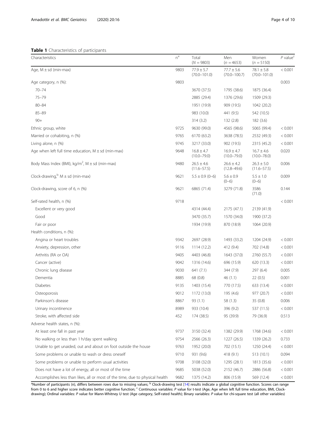<span id="page-4-0"></span>Table 1 Characteristics of participants

| Characteristics                                                               | $n^a$ | Total<br>$(N = 9803)$              | Men<br>$(n = 4653)$                | Women<br>$(n = 5150)$              | $P$ value <sup><math>C</math></sup> |
|-------------------------------------------------------------------------------|-------|------------------------------------|------------------------------------|------------------------------------|-------------------------------------|
| Age, $M \pm sd$ (min-max)                                                     | 9803  | $77.9 \pm 5.7$<br>$(70.0 - 101.0)$ | $77.7 \pm 5.6$<br>$(70.0 - 100.7)$ | $78.1 \pm 5.8$<br>$(70.0 - 101.0)$ | < 0.001                             |
| Age category, n (%):                                                          | 9803  |                                    |                                    |                                    | 0.003                               |
| $70 - 74$                                                                     |       | 3670 (37.5)                        | 1795 (38.6)                        | 1875 (36.4)                        |                                     |
| $75 - 79$                                                                     |       | 2885 (29.4)                        | 1376 (29.6)                        | 1509 (29.3)                        |                                     |
| $80 - 84$                                                                     |       | 1951 (19.9)                        | 909 (19.5)                         | 1042 (20.2)                        |                                     |
| $85 - 89$                                                                     |       | 983 (10.0)                         | 441 (9.5)                          | 542 (10.5)                         |                                     |
| $90+$                                                                         |       | 314(3.2)                           | 132(2.8)                           | 182(3.6)                           |                                     |
| Ethnic group, white                                                           | 9725  | 9630 (99.0)                        | 4565 (98.6)                        | 5065 (99.4)                        | < 0.001                             |
| Married or cohabiting, n (%)                                                  | 9765  | 6170 (63.2)                        | 3638 (78.5)                        | 2532 (49.3)                        | < 0.001                             |
| Living alone, n (%)                                                           | 9745  | 3217 (33.0)                        | 902 (19.5)                         | 2315 (45.2)                        | < 0.001                             |
| Age when left full time education, $M \pm sd$ (min-max)                       | 9648  | $16.8 \pm 4.7$<br>$(10.0 - 79.0)$  | $16.9 \pm 4.7$<br>$(10.0 - 79.0)$  | $16.7 \pm 4.6$<br>$(10.0 - 78.0)$  | 0.020                               |
| Body Mass Index (BMI), $kg/m^2$ , M $\pm$ sd (min-max)                        | 9480  | $26.5 \pm 4.6$<br>$(11.6 - 57.5)$  | $26.6 \pm 4.2$<br>$(12.8 - 49.6)$  | $26.3 \pm 5.0$<br>$(11.6 - 57.5)$  | 0.006                               |
| Clock-drawing, $M \pm sd$ (min-max)                                           | 9621  | $5.5 \pm 0.9$ (0-6)                | $5.6 \pm 0.9$<br>$(0-6)$           | $5.5 \pm 1.0$<br>$(0-6)$           | 0.009                               |
| Clock-drawing, score of 6, n (%)                                              | 9621  | 6865 (71.4)                        | 3279 (71.8)                        | 3586<br>(71.0)                     | 0.144                               |
| Self-rated health, n (%)                                                      | 9718  |                                    |                                    |                                    | < 0.001                             |
| Excellent or very good                                                        |       | 4314 (44.4)                        | 2175 (47.1)                        | 2139 (41.9)                        |                                     |
| Good                                                                          |       | 3470 (35.7)                        | 1570 (34.0)                        | 1900 (37.2)                        |                                     |
| Fair or poor                                                                  |       | 1934 (19.9)                        | 870 (18.9)                         | 1064 (20.9)                        |                                     |
| Health conditions, n (%):                                                     |       |                                    |                                    |                                    |                                     |
| Angina or heart troubles                                                      | 9342  | 2697 (28.9)                        | 1493 (33.2)                        | 1204 (24.9)                        | < 0.001                             |
| Anxiety, depression, other                                                    | 9116  | 1114 (12.2)                        | 412 (9.4)                          | 702 (14.8)                         | < 0.001                             |
| Arthritis (RA or OA)                                                          | 9405  | 4403 (46.8)                        | 1643 (37.0)                        | 2760 (55.7)                        | < 0.001                             |
| Cancer (active)                                                               | 9042  | 1316 (14.6)                        | 696 (15.9)                         | 620 (13.3)                         | < 0.001                             |
| Chronic lung disease                                                          | 9030  | 641 (7.1)                          | 344 (7.9)                          | 297 (6.4)                          | 0.005                               |
| Dementia                                                                      | 8885  | 68 (0.8)                           | 46 (1.1)                           | 22(0.5)                            | 0.001                               |
| <b>Diabetes</b>                                                               | 9135  | 1403 (15.4)                        | 770 (17.5)                         | 633 (13.4)                         | < 0.001                             |
| Osteoporosis                                                                  | 9012  | 1172 (13.0)                        | 195 (4.6)                          | 977 (20.7)                         | < 0.001                             |
| Parkinson's disease                                                           | 8867  | 93 (1.1)                           | 58 (1.3)                           | 35 (0.8)                           | 0.006                               |
| Urinary incontinence                                                          | 8989  | 933 (10.4)                         | 396 (9.2)                          | 537 (11.5)                         | < 0.001                             |
| Stroke, with affected side                                                    | 452   | 174 (38.5)                         | 95 (39.9)                          | 79 (36.9)                          | 0.513                               |
| Adverse health states, n (%):                                                 |       |                                    |                                    |                                    |                                     |
| At least one fall in past year                                                | 9737  | 3150 (32.4)                        | 1382 (29.9)                        | 1768 (34.6)                        | < 0.001                             |
| No walking or less than 1 h/day spent walking                                 | 9754  | 2566 (26.3)                        | 1227 (26.5)                        | 1339 (26.2)                        | 0.733                               |
| Unable to get unaided, out and about on foot outside the house                | 9763  | 1952 (20.0)                        | 702 (15.1)                         | 1250 (24.4)                        | < 0.001                             |
| Some problems or unable to wash or dress oneself                              | 9710  | 931 (9.6)                          | 418 (9.1)                          | 513(10.1)                          | 0.094                               |
| Some problems or unable to perform usual activities                           | 9708  | 3108 (32.0)                        | 1295 (28.1)                        | 1813 (35.6)                        | < 0.001                             |
| Does not have a lot of energy, all or most of the time                        | 9685  | 5038 (52.0)                        | 2152 (46.7)                        | 2886 (56.8)                        | < 0.001                             |
| Accomplishes less than likes, all or most of the time, due to physical health | 9682  | 1375 (14.2)                        | 806 (15.9)                         | 569 (12.4)                         | < 0.001                             |

<sup>a</sup>Number of participants (n), differs between rows due to missing values; <sup>b</sup> Clock-drawing test [\[14](#page-10-0)] results indicate a global cognitive function. Scores can range from 0 to 6 and higher score indicates better cognitive function; <sup>c</sup> Continuous variables: P value for t-test (Age, Age when left full time education, BMI, Clockdrawing); Ordinal variables: P value for Mann-Whitney U test (Age category, Self-rated health); Binary variables: P value for chi-square test (all other variables)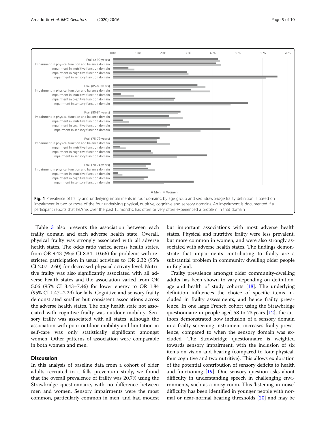<span id="page-5-0"></span>

Table [3](#page-7-0) also presents the association between each frailty domain and each adverse health state. Overall, physical frailty was strongly associated with all adverse health states. The odds ratio varied across health states, from OR 9.43 (95% CI 8.34–10.66) for problems with restricted participation in usual activities to OR 2.32 (95% CI 2.07–2.60) for decreased physical activity level. Nutritive frailty was also significantly associated with all adverse health states and the association varied from OR 5.06 (95% CI 3.43–7.46) for lower energy to OR 1.84 (95% CI 1.47–2.29) for falls. Cognitive and sensory frailty demonstrated smaller but consistent associations across the adverse health states. The only health state not associated with cognitive frailty was outdoor mobility. Sensory frailty was associated with all states, although the association with poor outdoor mobility and limitation in self-care was only statistically significant amongst women. Other patterns of association were comparable in both women and men.

## **Discussion**

In this analysis of baseline data from a cohort of older adults recruited to a falls prevention study, we found that the overall prevalence of frailty was 20.7% using the Strawbridge questionnaire, with no difference between men and women. Sensory impairments were the most common, particularly common in men, and had modest but important associations with most adverse health states. Physical and nutritive frailty were less prevalent, but more common in women, and were also strongly associated with adverse health states. The findings demonstrate that impairments contributing to frailty are a substantial problem in community dwelling older people in England.

Frailty prevalence amongst older community-dwelling adults has been shown to vary depending on definition, age and health of study cohorts  $[18]$ . The underlying definition influences the choice of specific items included in frailty assessments, and hence frailty prevalence. In one large French cohort using the Strawbridge questionnaire in people aged 58 to 73 years [[12](#page-10-0)], the authors demonstrated how inclusion of a sensory domain in a frailty screening instrument increases frailty prevalence, compared to when the sensory domain was excluded. The Strawbridge questionnaire is weighted towards sensory impairment, with the inclusion of six items on vision and hearing (compared to four physical, four cognitive and two nutritive). This allows exploration of the potential contribution of sensory deficits to health and functioning [[19](#page-10-0)]. One sensory question asks about difficulty in understanding speech in challenging environments, such as a noisy room. This 'listening-in-noise' difficulty has been identified in younger people with normal or near-normal hearing thresholds [\[20](#page-10-0)] and may be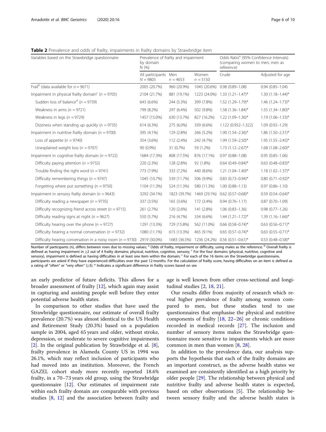<span id="page-6-0"></span>

| Table 2 Prevalence and odds of frailty, impairments in frailty domains by Strawbridge item |  |  |  |
|--------------------------------------------------------------------------------------------|--|--|--|
|--------------------------------------------------------------------------------------------|--|--|--|

| Variables based on the Strawbridge questionnaire                  | Prevalence of frailty and impairment<br>by domain<br>N(96) |              |                     | Odds Ratio <sup>a</sup> (95% Confidence Intervals)<br>(comparing women to men, men as<br>reference) |                          |  |
|-------------------------------------------------------------------|------------------------------------------------------------|--------------|---------------------|-----------------------------------------------------------------------------------------------------|--------------------------|--|
|                                                                   | All participants Men<br>$N = 9803$                         | $n = 4653$   | Women<br>$n = 5150$ | Crude                                                                                               | Adjusted for age         |  |
| Frail <sup>b</sup> (data available for $n = 9671$ )               | 2005 (20.7%)                                               | 960 (20.9%)  | 1045 (20.6%)        | $0.98(0.89 - 1.08)$                                                                                 | $0.94(0.85 - 1.04)$      |  |
| Impairment in physical frailty domain <sup>c</sup> ( $n = 9705$ ) | 2104 (21.7%)                                               | 881 (19.1%)  | 1223 (24.0%)        | $1.33(1.21 - 1.47)^{*}$                                                                             | $1.30(1.18 - 1.44)^{*}$  |  |
| Sudden loss of balance <sup>d</sup> ( $n = 9739$ )                | 643 (6.6%)                                                 | 244 (5.3%)   | 399 (7.8%)          | $1.52$ (1.29-1.79)*                                                                                 | $1.46$ $(1.24 - 1.73)^*$ |  |
| Weakness in arms ( $n = 9721$ )                                   | 799 (8.2%)                                                 | 297 (6.4%)   | 502 (9.8%)          | $1.58$ $(1.36 - 1.84)^*$                                                                            | $1.55$ $(1.34 - 1.80)$ * |  |
| Weakness in legs ( $n = 9729$ )                                   | 1457 (15.0%)                                               | 630 (13.7%)  | 827 (16.2%)         | $1.22$ $(1.09 - 1.36)^*$                                                                            | $1.19(1.06 - 1.33)^{*}$  |  |
| Dizziness when standing up quickly ( $n = 9735$ )                 | 614 (6.3%)                                                 | 275 (6.0%)   | 339 (6.6%)          | 1.122 (0.952-1.322)                                                                                 | $1.09(0.92 - 1.29)$      |  |
| Impairment in nutritive frailty domain ( $n = 9700$ )             | 395 (4.1%)                                                 | 129 (2.8%)   | 266 (5.2%)          | $1.90(1.54 - 2.36)^*$                                                                               | $1.86$ $(1.50 - 2.31)^*$ |  |
| Loss of appetite ( $n = 9740$ )                                   | 354 (3.6%)                                                 | 112 (2.4%)   | 242 (4.7%)          | 1.99 (1.59-2.50)*                                                                                   | $1.95(1.55 - 2.45)^*$    |  |
| Unexplained weight loss ( $n = 9707$ )                            | 90 (0.9%)                                                  | 31 (0.7%)    | 59 (1.2%)           | $1.73$ $(1.12 - 2.67)^*$                                                                            | $1.68$ $(1.08 - 2.60)^*$ |  |
| Impairment in cognitive frailty domain ( $n = 9722$ )             | 1684 (17.3%)                                               | 808 (17.5%)  | 876 (17.1%)         | $0.97(0.88 - 1.08)$                                                                                 | $0.95(0.85 - 1.06)$      |  |
| Difficulty paying attention ( $n = 9732$ )                        | 220 (2.3%)                                                 | 128 (2.8%)   | 92 (1.8%)           | $0.64$ $(0.49 - 0.84)^*$                                                                            | $0.63$ $(0.48 - 0.83)$ * |  |
| Trouble finding the right word ( $n = 9741$ )                     | 773 (7.9%)                                                 | 333 (7.2%)   | 440 (8.6%)          | $1.21$ $(1.04-1.40)$ *                                                                              | $1.18(1.02 - 1.37)^{*}$  |  |
| Difficulty remembering things ( $n = 9747$ )                      | 1045 (10.7%)                                               | 539 (11.7%)  | 506 (9.9%)          | $0.83$ $(0.73 - 0.94)^*$                                                                            | $0.80(0.71 - 0.92)^{*}$  |  |
| Forgetting where put something ( $n = 9750$ )                     | 1104 (11.3%)                                               | 524 (11.3%)  | 580 (11.3%)         | $1.00(0.88 - 1.13)$                                                                                 | $0.97(0.86 - 1.10)$      |  |
| Impairment in sensory frailty domain ( $n = 9643$ )               | 3292 (34.1%)                                               | 1823 (39.7%) | 1469 (29.1%)        | $0.62$ $(0.57-0.68)$ *                                                                              | $0.59(0.54 - 0.64)^*$    |  |
| Difficulty reading a newspaper ( $n = 9735$ )                     | 337 (3.5%)                                                 | 165 (3.6%)   | 172 (3.4%)          | $0.94(0.76 - 1.17)$                                                                                 | $0.87(0.70 - 1.09)$      |  |
| Difficulty recognizing friend across street ( $n = 9715$ )        | 261 (2.7%)                                                 | 120 (2.6%)   | 141 (2.8%)          | $1.06(0.83 - 1.36)$                                                                                 | $0.98(0.77 - 1.26)$      |  |
| Difficulty reading signs at night ( $n = 9627$ )                  | 550 (5.7%)                                                 | 216 (4.7%)   | 334 (6.6%)          | $1.44$ $(1.21 - 1.72)^*$                                                                            | $1.39(1.16 - 1.66)^{*}$  |  |
| Difficulty hearing over the phone ( $n = 9727$ )                  | 1291 (13.3%)                                               | 729 (15.8%)  | 562 (11.0%)         | $0.66$ $(0.58 - 0.74)$ *                                                                            | $0.63$ $(0.56 - 0.71)^*$ |  |
| Difficulty hearing a normal conversation ( $n = 9732$ )           | 1080 (11.1%)                                               | 615 (13.3%)  | 465 (9.1%)          | $0.65$ $(0.57-0.74)$ *                                                                              | $0.63$ $(0.55 - 0.71)^*$ |  |
| Difficulty hearing conversation in a noisy room ( $n = 9730$ )    | 2919 (30.0%)                                               | 1683 (36.5%) | 1236 (24.2%)        | $0.56$ $(0.51-0.61)$ *                                                                              | $0.53$ $(0.48 - 0.58)^*$ |  |

Number of participants (n), differs between rows due to missing values; <sup>a</sup> Odds of frailty, impairment or difficulty, using males as the reference; <sup>b</sup> Overall frailty is defined as having impairment in  $\geq$ 2 out of 4 frailty domains; physical, nutritive, cognitive, sensory;  $\epsilon$  For the four domains (physical, nutritive, cognitive and sensory), impairment is defined as having difficulties in at least one item within the domain; <sup>c</sup> For each of the 16 items on the Strawbridge questionnaire, participants are asked if they have experienced difficulties over the past 12 months. For the calculation of frailty score, having difficulties on an item is defined as a rating of "often" or "very often" (≥3); \* Indicates a significant difference in frailty scores based on sex

an early predictor of future deficits. This allows for a broader assessment of frailty [[12](#page-10-0)], which again may assist in capturing and assisting people well before they enter potential adverse health states.

In comparison to other studies that have used the Strawbridge questionnaire, our estimate of overall frailty prevalence (20.7%) was almost identical to the US Health and Retirement Study (20.3%) based on a population sample in 2004, aged 65 years and older, without stroke, depression, or moderate to severe cognitive impairments [[2\]](#page-9-0). In the original publication by Strawbridge et al. [\[8](#page-9-0)], frailty prevalence in Alameda County US in 1994 was 26.1%, which may reflect inclusion of participants who had moved into an institution. Moreover, the French GAZEL cohort study more recently reported 18.6% frailty, in a 70–73 years old group, using the Strawbridge questionnaire [[12\]](#page-10-0). Our estimates of impairment rate within each frailty domain are comparable with previous studies [[8,](#page-9-0) [12](#page-10-0)] and the association between frailty and age is well known from other cross-sectional and longitudinal studies [[2,](#page-9-0) [18](#page-10-0), [21](#page-10-0)].

Our results differ from majority of research which reveal higher prevalence of frailty among women compared to men, but these studies tend to use questionnaires that emphasise the physical and nutritive components of frailty [[18,](#page-10-0) [22](#page-10-0)–[26\]](#page-10-0) or chronic conditions recorded in medical records [\[27](#page-10-0)]. The inclusion and number of sensory items makes the Strawbridge questionnaire more sensitive to impairments which are more common in men than women [\[8](#page-9-0), [28](#page-10-0)].

In addition to the prevalence data, our analysis supports the hypothesis that each of the frailty domains are an important construct, as the adverse health states we examined are consistently identified as a high priority by older people [[29\]](#page-10-0). The relationship between physical and nutritive frailty and adverse health states is expected, based on other observations [\[5\]](#page-9-0). The relationship between sensory frailty and the adverse health states is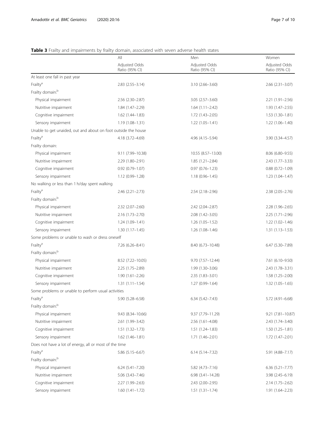## <span id="page-7-0"></span>Table 3 Frailty and impairments by frailty domain, associated with seven adverse health states

|                                                                | All                                        | Men                             |                                 |  |  |
|----------------------------------------------------------------|--------------------------------------------|---------------------------------|---------------------------------|--|--|
|                                                                | Adjusted Odds<br>Ratio (95% CI)            | Adjusted Odds<br>Ratio (95% CI) | Adjusted Odds<br>Ratio (95% CI) |  |  |
| At least one fall in past year                                 |                                            |                                 |                                 |  |  |
| Frailty <sup>a</sup>                                           | $2.83(2.55 - 3.14)$                        | $3.10(2.66 - 3.60)$             | $2.66$ $(2.31 - 3.07)$          |  |  |
| Frailty domain: <sup>b</sup>                                   |                                            |                                 |                                 |  |  |
| Physical impairment                                            | 2.56 (2.30-2.87)                           | $3.05(2.57 - 3.60)$             | 2.21 (1.91-2.56)                |  |  |
| Nutritive impairment                                           | 1.84 (1.47-2.29)                           | $1.64(1.11 - 2.42)$             | 1.93 (1.47-2.55)                |  |  |
| Cognitive impairment                                           | $1.62(1.44 - 1.83)$                        | $1.72(1.43 - 2.05)$             | $1.53(1.30-1.81)$               |  |  |
| Sensory impairment                                             | $1.19(1.08 - 1.31)$                        | $1.22(1.05 - 1.41)$             | $1.22(1.06 - 1.40)$             |  |  |
| Unable to get unaided, out and about on foot outside the house |                                            |                                 |                                 |  |  |
| Frailty <sup>a</sup>                                           | 4.18 (3.72-4.69)                           | 4.96 (4.15 - 5.94)              | 3.90 (3.34-4.57)                |  |  |
| Frailty domain:                                                |                                            |                                 |                                 |  |  |
| Physical impairment                                            | 9.11 (7.99-10.38)                          | 10.55 (8.57-13.00)              | 8.06 (6.80-9.55)                |  |  |
| Nutritive impairment                                           | 2.29 (1.80-2.91)                           | $1.85(1.21 - 2.84)$             | 2.43 (1.77-3.33)                |  |  |
| Cognitive impairment                                           | $0.92$ $(0.79 - 1.07)$                     | $0.97(0.76 - 1.23)$             | $0.88(0.72 - 1.09)$             |  |  |
| Sensory impairment                                             | 1.12 (0.99-1.28)                           | $1.18(0.96 - 1.45)$             | $1.23(1.04 - 1.47)$             |  |  |
| No walking or less than 1 h/day spent walking                  |                                            |                                 |                                 |  |  |
| Frailty <sup>a</sup>                                           | $2.46$ ( $2.21 - 2.73$ )                   | 2.54 (2.18-2.96)                | 2.38 (2.05-2.76)                |  |  |
| Frailty domain: <sup>b</sup>                                   |                                            |                                 |                                 |  |  |
| Physical impairment                                            | $2.32(2.07 - 2.60)$                        | 2.42 (2.04-2.87)                | $2.28(1.96 - 2.65)$             |  |  |
| Nutritive impairment                                           | $2.16(1.73 - 2.70)$                        | $2.08(1.42 - 3.05)$             | $2.25(1.71-2.96)$               |  |  |
| Cognitive impairment                                           | $1.24(1.09 - 1.41)$                        | $1.26(1.05-1.52)$               | $1.22(1.02 - 1.46)$             |  |  |
| Sensory impairment                                             | $1.30(1.17 - 1.45)$                        | $1.26(1.08 - 1.46)$             | $1.31(1.13 - 1.53)$             |  |  |
| Some problems or unable to wash or dress oneself               |                                            |                                 |                                 |  |  |
| Frailty <sup>a</sup>                                           | 7.26 (6.26-8.41)                           | 8.40 (6.73-10.48)               | 6.47 (5.30-7.89)                |  |  |
| Frailty domain. <sup>b</sup>                                   |                                            |                                 |                                 |  |  |
| Physical impairment                                            | 8.52 (7.22-10.05)                          | $9.70(7.57 - 12.44)$            | 7.61 (6.10-9.50)                |  |  |
| Nutritive impairment                                           | 2.25 (1.75-2.89)                           | 1.99 (1.30-3.06)                | 2.43 (1.78-3.31)                |  |  |
| Cognitive impairment                                           | $1.90(1.61 - 2.26)$<br>$2.35(1.83 - 3.01)$ |                                 | $1.58(1.25 - 2.00)$             |  |  |
| Sensory impairment                                             | $1.31(1.11 - 1.54)$                        | $1.27(0.99 - 1.64)$             | $1.32(1.05 - 1.65)$             |  |  |
| Some problems or unable to perform usual activities            |                                            |                                 |                                 |  |  |
| Frailty <sup>a</sup>                                           | 5.90 (5.28–6.58)                           | $6.34(5.42 - 7.43)$             | 5.72 (4.91-6.68)                |  |  |
| Frailty domain: <sup>b</sup>                                   |                                            |                                 |                                 |  |  |
| Physical impairment                                            | 9.43 (8.34-10.66)                          | 9.37 (7.79-11.29)               | 9.21 (7.81-10.87)               |  |  |
| Nutritive impairment                                           | 2.61 (1.99-3.42)                           | 2.56 (1.61-4.08)                | 2.43 (1.74-3.40)                |  |  |
| Cognitive impairment                                           | $1.51(1.32 - 1.73)$                        | $1.51(1.24 - 1.83)$             | $1.50(1.25 - 1.81)$             |  |  |
| Sensory impairment                                             | $1.62(1.46 - 1.81)$                        | $1.71(1.46 - 2.01)$             | $1.72(1.47 - 2.01)$             |  |  |
| Does not have a lot of energy, all or most of the time         |                                            |                                 |                                 |  |  |
| Frailty <sup>a</sup>                                           | $5.86(5.15 - 6.67)$                        | $6.14(5.14 - 7.32)$             | 5.91 (4.88-7.17)                |  |  |
| Frailty domain: <sup>b</sup>                                   |                                            |                                 |                                 |  |  |
| Physical impairment                                            | $6.24$ $(5.41 - 7.20)$                     | $5.82(4.73 - 7.16)$             | $6.36(5.21 - 7.77)$             |  |  |
| Nutritive impairment                                           | $5.06$ $(3.43 - 7.46)$                     | $6.98(3.41 - 14.28)$            | 3.98 (2.45-6.19)                |  |  |
| Cognitive impairment                                           | 2.27 (1.99-2.63)                           | 2.43 (2.00-2.95)                | $2.14(1.75 - 2.62)$             |  |  |
| Sensory impairment                                             | $1.60(1.41-1.72)$                          | $1.51(1.31 - 1.74)$             | 1.91 (1.64-2.23)                |  |  |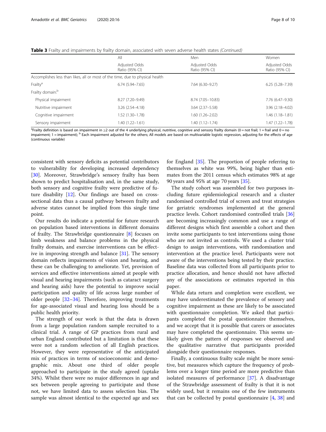|  |  | Table 3 Frailty and impairments by frailty domain, associated with seven adverse health states (Continued) |  |  |
|--|--|------------------------------------------------------------------------------------------------------------|--|--|

|                              | All                                                                           | Men                             | Women                           |
|------------------------------|-------------------------------------------------------------------------------|---------------------------------|---------------------------------|
|                              | Adjusted Odds<br>Ratio (95% CI)                                               | Adjusted Odds<br>Ratio (95% CI) | Adjusted Odds<br>Ratio (95% CI) |
|                              | Accomplishes less than likes, all or most of the time, due to physical health |                                 |                                 |
| Frailty <sup>a</sup>         | $6.74(5.94 - 7.65)$                                                           | 7.64 (6.30-9.27)                | $6.25(5.28 - 7.39)$             |
| Frailty domain: <sup>b</sup> |                                                                               |                                 |                                 |
| Physical impairment          | 8.27 (7.20-9.49)                                                              | 8.74 (7.05-10.83)               | 7.76 (6.47-9.30)                |
| Nutritive impairment         | 3.26 (2.54-4.18)                                                              | $3.64$ $(2.37 - 5.58)$          | 3.96 (2.18-4.02)                |
| Cognitive impairment         | 1.52 (1.30-1.78)                                                              | 1.60 (1.26-2.02)                | 1.46 (1.18-1.81)                |
| Sensory impairment           | 1.40 (1.22–1.61)                                                              | 1.40 (1.12–1.74)                | 1.47 (1.22–1.78)                |

<sup>a</sup>Frailty definition is based on impairment in ≥2 out of the 4 underlying physical, nutritive, cognitive and sensory frailty domain (0 = not frail; 1 = frail and 0 = no impairment; 1 = impairment); <sup>b</sup> Each impairment adjusted for the others; All models are based on multivariable logistic regression, adjusting for the effects of age (continuous variable)

consistent with sensory deficits as potential contributors to vulnerability for developing increased dependency [[30\]](#page-10-0). Moreover, Strawbridge's sensory frailty has been shown to predict hospitalisation and, in the same study, both sensory and cognitive frailty were predictive of future disability [[12](#page-10-0)]. Our findings are based on crosssectional data thus a causal pathway between frailty and adverse states cannot be implied from this single time point.

Our results do indicate a potential for future research on population based interventions in different domains of frailty. The Strawbridge questionnaire [\[8](#page-9-0)] focuses on limb weakness and balance problems in the physical frailty domain, and exercise interventions can be effective in improving strength and balance [[31](#page-10-0)]. The sensory domain reflects impairments of vision and hearing, and these can be challenging to ameliorate. Yet, provision of services and effective interventions aimed at people with visual and hearing impairments (such as cataract surgery and hearing aids) have the potential to improve social participation and quality of life across large number of older people [\[32](#page-10-0)–[34\]](#page-10-0). Therefore, improving treatments for age-associated visual and hearing loss should be a public health priority.

The strength of our work is that the data is drawn from a large population random sample recruited to a clinical trial. A range of GP practices from rural and urban England contributed but a limitation is that these were not a random selection of all English practices. However, they were representative of the anticipated mix of practices in terms of socioeconomic and demographic mix. About one third of older people approached to participate in the study agreed (uptake 34%). Whilst there were no major differences in age and sex between people agreeing to participate and those not, we have limited data to assess selection bias. The sample was almost identical to the expected age and sex for England [[35](#page-10-0)]. The proportion of people referring to themselves as white was 99%, being higher than estimates from the 2011 census which estimates 98% at age 90 years and 95% at age 70 years [\[35\]](#page-10-0).

The study cohort was assembled for two purposes including future epidemiological research and a cluster randomised controlled trial of screen and treat strategies for geriatric syndromes implemented at the general practice levels. Cohort randomised controlled trials [[36](#page-10-0)] are becoming increasingly common and use a range of different designs which first assemble a cohort and then invite some participants to test interventions using those who are not invited as controls. We used a cluster trial design to assign interventions, with randomisation and intervention at the practice level. Participants were not aware of the interventions being tested by their practice. Baseline data was collected from all participants prior to practice allocation, and hence should not have affected any of the associations or estimates reported in this paper.

While data return and completion were excellent, we may have underestimated the prevalence of sensory and cognitive impairment as these are likely to be associated with questionnaire completion. We asked that participants completed the postal questionnaire themselves, and we accept that it is possible that carers or associates may have completed the questionnaire. This seems unlikely given the pattern of responses we observed and the qualitative narrative that participants provided alongside their questionnaire responses.

Finally, a continuous frailty scale might be more sensitive, but measures which capture the frequency of problems over a longer time period are more predictive than isolated measures of performance [\[37\]](#page-10-0). A disadvantage of the Strawbridge assessment of frailty is that it is not widely used, but it remains one of the few instruments that can be collected by postal questionnaire [[4,](#page-9-0) [38\]](#page-10-0) and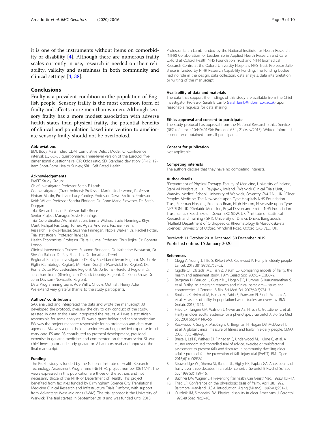<span id="page-9-0"></span>it is one of the instruments without items on comorbidity or disability [4]. Although there are numerous frailty scales currently in use, research is needed on their reliability, validity and usefulness in both community and clinical settings [4, [38](#page-10-0)].

## **Conclusions**

Frailty is a prevalent condition in the population of English people. Sensory frailty is the most common form of frailty and affects more men than women. Although sensory frailty has a more modest association with adverse health states than physical frailty, the potential benefits of clinical and population based intervention to ameliorate sensory frailty should not be overlooked.

#### Abbreviations

BMI: Body Mass Index; CDM: Cumulative Deficit Model; CI: Confidence interval; EQ-5D-3L questionnaire: Three-level version of the EuroQol fivedimensional questionnaire; OR: Odds ratio; SD: Standard deviation; SF-12: 12- Item Short-Form Health Survey; SRH: Self Rated Health

#### Acknowledgements

PreFIT Study Group:

Chief Investigator: Professor Sarah E Lamb.

Co-investigators (Grant holders): Professor Martin Underwood, Professor Finbarr Martin, Professor Lucy Yardley, Professor Dawn Skelton, Professor Keith Willett, Professor Sandra Eldridge, Dr. Anne-Marie Slowther, Dr. Sarah Duggan.

Trial Research Lead: Professor Julie Bruce.

Senior Project Manager: Susie Hennings.

Trial Co-ordination/Administration: Emma Withers, Susie Hennings, Rhys Mant, Rishpal Rai, Craig Turner, Agata Andrews, Rachael Fearn.

Research Fellows/Nurses: Susanne Finnegan, Nicola Walker, Dr. Rachel Potter. Trial statistician: Professor Ranjit Lall.

Health Economists: Professor Claire Hulme, Professor Chris Bojke, Dr. Roberta Longo.

Clinical Intervention Trainers: Susanne Finnegan, Dr. Katherine Westacott, Dr. Shvaita Ralhan, Dr. Ray Sheridan, Dr. Jonathan Treml.

Regional Principal Investigators: Dr. Ray Sheridan (Devon Region), Ms. Jackie Riglin (Cambridge Region); Mr. Harm Gordjin (Warwickshire Region); Dr. Ruma Dutta (Worcestershire Region); Ms. Jo Burns (Hereford Region), Dr. Jonathan Treml (Birmingham & Black Country Region), Dr. Fiona Shaw, Dr. John Davison (Newcastle Region).

Data Programming team: Ade Willis, Chocks Muthiah, Henry Adjei. We extend very grateful thanks to the study participants.

#### Authors' contributions

SAA analysed and interpreted the data and wrote the manuscript. JB developed the protocol, oversaw the day to day conduct of the study, assisted in data analysis and interpreted the results. AH was a statistician responsible for some analyses. RL was a grant holder and senior statistician. EW was the project manager responsible for co-ordination and data management. MU was a grant holder, senior researcher, provided expertise in primary care. FS and RS contributed to protocol development, provided expertise in geriatric medicine, and commented on the manuscript. SL was chief investigator and study guarantor. All authors read and approved the final manuscript.

## Funding

The PreFIT study is funded by the National Institute of Health Research Technology Assessment Programme (Nir HTA), project number 08/14/41. The views expressed in this publication are those of the authors and not necessarily those of the NIHR or Department of Health. This project benefited from facilities funded by Birmingham Science City Translational Medicine Clinical Research and Infrastructure Trials Platform, with support from Advantage West Midlands (AWM). The trial sponsor is the University of Warwick. The trial started in September 2010 and was funded until 2018.

Professor Sarah Lamb funded by the National Institute for Health Research (NIHR) Collaboration for Leadership in Applied Health Research and Care Oxford at Oxford Health NHS Foundation Trust and NIHR Biomedical Research Centre at the Oxford University Hospitals NHS Trust. Professor Julie Bruce is funded by NIHR Research Capability Funding. The funding bodies had no role in the design, data collection, data analysis, data interpretation, or writing of the manuscript.

#### Availability of data and materials

The data that support the findings of this study are available from the Chief Investigator Professor Sarah E Lamb ([sarah.lamb@ndorms.ox.ac.uk\)](mailto:sarah.lamb@ndorms.ox.ac.uk) upon reasonable requests for data sharing.

#### Ethics approval and consent to participate

The study protocol has approval from the National Research Ethics Service (REC reference 10/H0401/36; Protocol V.3.1, 21/May/2013). Written informed consent was obtained from all participants.

#### Consent for publication

Not applicable.

#### Competing interests

The authors declare that they have no competing interests.

#### Author details

<sup>1</sup>Department of Physical Therapy, Faculty of Medicine, University of Iceland Stapi v/Hringbraut, 101, Reykjavik, Iceland. <sup>2</sup>Warwick Clinical Trials Unit Warwick Medical School, University of Warwick, Coventry CV4 7AL, UK. <sup>3</sup>Older Peoples Medicine, The Newcastle upon Tyne Hospitals NHS Foundation Trust, Freeman Hospital, Freeman Road, High Heaton, Newcastle upon Tyne NE7 7DN, UK. <sup>4</sup>Geriatric Medicine, Royal Devon and Exeter NHS Foundation Trust, Barrack Road, Exeter, Devon EX2 5DW, UK. <sup>5</sup>Institute of Statistical Research and Training (ISRT), University of Dhaka, Dhaka, Bangladesh. 6 Nuffield Department of Orthopaedics Rheumatology & Musculoskeletal Sciences, University of Oxford, Windmill Road, Oxford OX3 7LD, UK.

#### Received: 11 October 2018 Accepted: 30 December 2019 Published online: 15 January 2020

#### References

- 1. Clegg A, Young J, Iliffe S, Rikkert MO, Rockwood K. Frailty in elderly people. Lancet. 2013;381(9868):752–62.
- 2. Cigolle CT, Ofstedal MB, Tian Z, Blaum CS. Comparing models of frailty: the health and retirement study. J Am Geriatr Soc. 2009;57(5):830–9.
- 3. Bergman H, Ferrucci L, Guralnik J, Hogan DB, Hummel S, Karunananthan S, et al. Frailty: an emerging research and clinical paradigm—issues and controversies. J Gerontol A Biol Sci Med Sci. 2007;62(7):731–7.
- 4. Bouillon K, Kivimaki M, Hamer M, Sabia S, Fransson EI, Singh-Manoux A, et al. Measures of frailty in population-based studies: an overview. BMC Geriatr. 2013;13:64.
- 5. Fried LP, Tangen CM, Walston J, Newman AB, Hirsch C, Gottdiener J, et al. Frailty in older adults: evidence for a phenotype. J Gerontol A Biol Sci Med Sci. 2001;56(3):M146–56.
- 6. Rockwood K, Song X, MacKnight C, Bergman H, Hogan DB, McDowell I, et al. A global clinical measure of fitness and frailty in elderly people. CMAJ. 2005;173(5):489–95.
- 7. Bruce J, Lall R, Withers EJ, Finnegan S, Underwood M, Hulme C, et al. A cluster randomised controlled trial of advice, exercise or multifactorial assessment to prevent falls and fractures in community-dwelling older adults: protocol for the prevention of falls injury trial (PreFIT). BMJ Open. 2016;6(1):e009362.
- 8. Strawbridge WJ, Shema SJ, Balfour JL, Higby HR, Kaplan GA. Antecedents of frailty over three decades in an older cohort. J Gerontol B Psychol Sci Soc Sci. 1998;53(1):S9–16.
- 9. Buchner DM, Wagner EH. Preventing frail health. Clin Geriatr Med. 1992;8(1):1–17. 10. Fried LP. Conference on the physiologic basis of frailty. April 28, 1992,
- Baltimore, Maryland, U.S.A. Introduction. Aging (Milano). 1992;4(3):251–2. 11. Guralnik JM, Simonsick EM. Physical disability in older Americans. J Gerontol.
- 1993;48 Spec No:3–10.